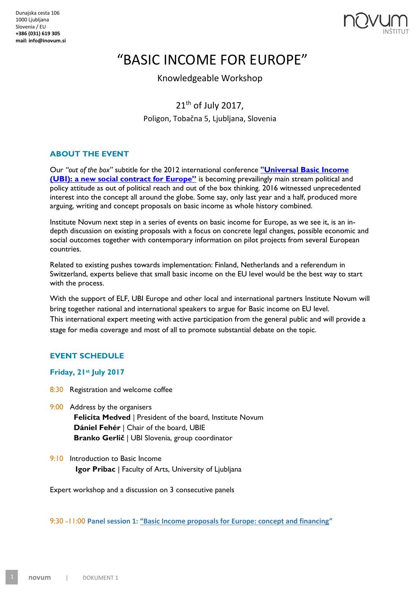

# "BASIC INCOME FOR EUROPE"

Knowledgeable Workshop

 $21<sup>th</sup>$  of July 2017.

Poligon, Tobačna 5, Ljubljana, Slovenia

## **ABOUT THE EVENT**

Our *"out of the box"* subtitle for the 2012 international conference **["Universal Basic Income](http://www.inovum.si/ubi/)  [\(UBI\): a new social contract for Eur](http://www.inovum.si/ubi/)ope"** is becoming prevailingly main stream political and policy attitude as out of political reach and out of the box thinking. 2016 witnessed unprecedented interest into the concept all around the globe. Some say, only last year and a half, produced more arguing, writing and concept proposals on basic income as whole history combined.

Institute Novum next step in a series of events on basic income for Europe, as we see it, is an indepth discussion on existing proposals with a focus on concrete legal changes, possible economic and social outcomes together with contemporary information on pilot projects from several European countries.

Related to existing pushes towards implementation: Finland, Netherlands and a referendum in Switzerland, experts believe that small basic income on the EU level would be the best way to start with the process.

With the support of ELF, UBI Europe and other local and international partners Institute Novum will bring together national and international speakers to argue for Basic income on EU level. This international expert meeting with active participation from the general public and will provide a stage for media coverage and most of all to promote substantial debate on the topic.

## **EVENT SCHEDULE**

### **Friday, 21st July 2017**

- 8:30 Registration and welcome coffee
- 9:00 Address by the organisers

 **Felicita Medved** | President of the board, Institute Novum  **Dániel Fehér** | Chair of the board, UBIE **Branko Gerlič** | UBI Slovenia, group coordinator

9:10 Introduction to Basic Income **Igor Pribac** | Faculty of Arts, University of Ljubljana

Expert workshop and a discussion on 3 consecutive panels

9:30 -11:00 **Panel session 1: "Basic Income proposals for Europe: concept and financing"**